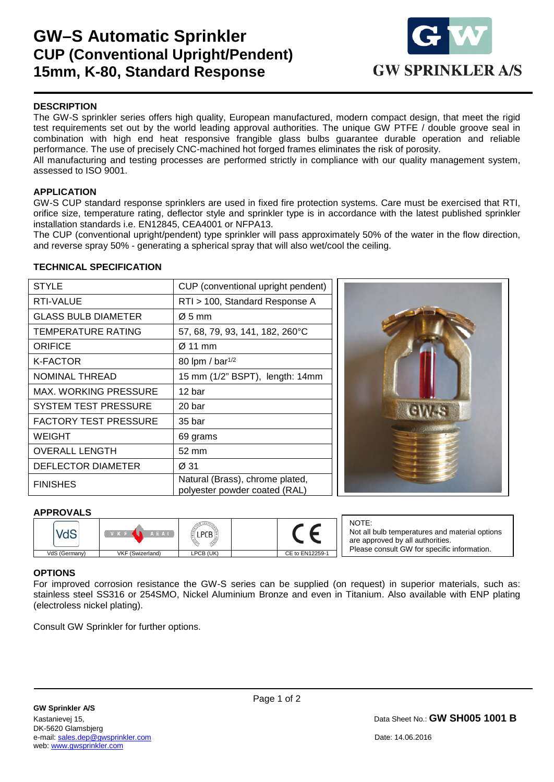# **GW–S Automatic Sprinkler CUP (Conventional Upright/Pendent) 15mm, K-80, Standard Response**



### **DESCRIPTION**

The GW-S sprinkler series offers high quality, European manufactured, modern compact design, that meet the rigid test requirements set out by the world leading approval authorities. The unique GW PTFE / double groove seal in combination with high end heat responsive frangible glass bulbs guarantee durable operation and reliable performance. The use of precisely CNC-machined hot forged frames eliminates the risk of porosity.

All manufacturing and testing processes are performed strictly in compliance with our quality management system, assessed to ISO 9001.

#### **APPLICATION**

GW-S CUP standard response sprinklers are used in fixed fire protection systems. Care must be exercised that RTI, orifice size, temperature rating, deflector style and sprinkler type is in accordance with the latest published sprinkler installation standards i.e. EN12845, CEA4001 or NFPA13.

The CUP (conventional upright/pendent) type sprinkler will pass approximately 50% of the water in the flow direction, and reverse spray 50% - generating a spherical spray that will also wet/cool the ceiling.

#### **TECHNICAL SPECIFICATION**

| <b>STYLE</b>                 | CUP (conventional upright pendent)                               |  |
|------------------------------|------------------------------------------------------------------|--|
| RTI-VALUE                    | RTI > 100, Standard Response A                                   |  |
| <b>GLASS BULB DIAMETER</b>   | $\varnothing$ 5 mm                                               |  |
| TEMPERATURE RATING           | 57, 68, 79, 93, 141, 182, 260°C                                  |  |
| ORIFICE                      | $\varnothing$ 11 mm                                              |  |
| K-FACTOR                     | 80 lpm / bar <sup>1/2</sup>                                      |  |
| <b>NOMINAL THREAD</b>        | 15 mm (1/2" BSPT), length: 14mm                                  |  |
| MAX. WORKING PRESSURE        | 12 bar                                                           |  |
| <b>SYSTEM TEST PRESSURE</b>  | 20 <sub>bar</sub>                                                |  |
| <b>FACTORY TEST PRESSURE</b> | 35 bar                                                           |  |
| <b>WEIGHT</b>                | 69 grams                                                         |  |
| <b>OVERALL LENGTH</b>        | 52 mm                                                            |  |
| DEFLECTOR DIAMETER           | Ø 31                                                             |  |
| <b>FINISHES</b>              | Natural (Brass), chrome plated,<br>polyester powder coated (RAL) |  |



#### **APPROVALS**

|               | AEAI             |           |                 |
|---------------|------------------|-----------|-----------------|
| VdS (Germany) | VKF (Swizerland) | LPCB (UK) | CE to EN12259-1 |

NOTE: Not all bulb temperatures and material options are approved by all authorities. Please consult GW for specific information.

#### **OPTIONS**

1

For improved corrosion resistance the GW-S series can be supplied (on request) in superior materials, such as: stainless steel SS316 or 254SMO, Nickel Aluminium Bronze and even in Titanium. Also available with ENP plating (electroless nickel plating).

Consult GW Sprinkler for further options.